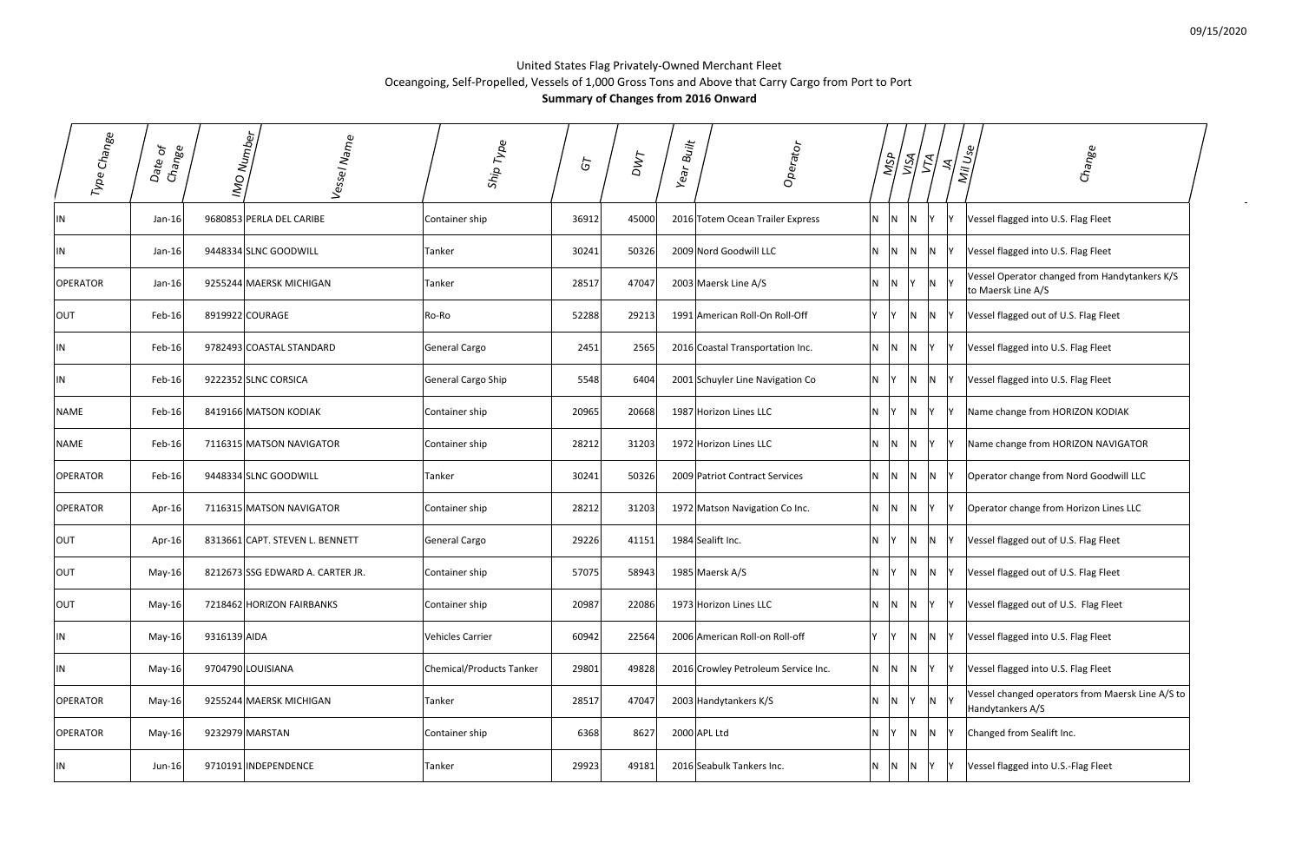$\sim$ 

## United States Flag Privately‐Owned Merchant Fleet Oceangoing, Self‐Propelled, Vessels of 1,000 Gross Tons and Above that Carry Cargo from Port to Port **Summary of Changes from 2016 Onward**

| Type Change     | $\delta$<br>Change<br>Date | IMO Number<br>Vessel Name        | Ship Type                       | 5     | DWT   | Built<br>Operator<br>Year           | <b>NSP</b>            | $\mathbb{Z}$<br>$5\sigma$ | $\leq$         | Mill Use<br>Change                                                   |
|-----------------|----------------------------|----------------------------------|---------------------------------|-------|-------|-------------------------------------|-----------------------|---------------------------|----------------|----------------------------------------------------------------------|
| IN              | Jan-16 $ $                 | 9680853 PERLA DEL CARIBE         | Container ship                  | 36912 | 45000 | 2016 Totem Ocean Trailer Express    | N <sub>1</sub><br>IN. | IN.                       |                | Vessel flagged into U.S. Flag Fleet                                  |
| IN              | $Jan-16$                   | 9448334 SLNC GOODWILL            | Tanker                          | 30241 | 50326 | 2009 Nord Goodwill LLC              | N.<br>IN.             | IN.                       | N              | Vessel flagged into U.S. Flag Fleet                                  |
| <b>OPERATOR</b> | $Jan-16$                   | 9255244 MAERSK MICHIGAN          | Tanker                          | 28517 | 47047 | 2003 Maersk Line A/S                | N.<br>IN.             |                           | N              | Vessel Operator changed from Handytankers K/S<br>to Maersk Line A/S  |
| OUT             | Feb-16                     | 8919922 COURAGE                  | Ro-Ro                           | 52288 | 29213 | 1991 American Roll-On Roll-Off      | Y.<br>IY.             | N.                        | N              | Vessel flagged out of U.S. Flag Fleet                                |
| IN              | Feb-16                     | 9782493 COASTAL STANDARD         | General Cargo                   | 2451  | 2565  | 2016 Coastal Transportation Inc.    | N <sub>1</sub><br>N   | IN.                       |                | Vessel flagged into U.S. Flag Fleet                                  |
| IN              | Feb-16                     | 9222352 SLNC CORSICA             | General Cargo Ship              | 5548  | 6404  | 2001 Schuyler Line Navigation Co    | N                     | <b>N</b>                  | IN.            | Vessel flagged into U.S. Flag Fleet                                  |
| <b>NAME</b>     | Feb-16                     | 8419166 MATSON KODIAK            | Container ship                  | 20965 | 20668 | 1987 Horizon Lines LLC              | N <sub>1</sub>        | $\overline{N}$            | IY.            | Name change from HORIZON KODIAK                                      |
| <b>NAME</b>     | Feb-16                     | 7116315 MATSON NAVIGATOR         | Container ship                  | 28212 | 31203 | 1972 Horizon Lines LLC              | $ N $ $ N $           |                           | IY.            | Name change from HORIZON NAVIGATOR                                   |
| <b>OPERATOR</b> | Feb-16                     | 9448334 SLNC GOODWILL            | Tanker                          | 30241 | 50326 | 2009 Patriot Contract Services      | $N$ $N$               | N                         | IN.            | Operator change from Nord Goodwill LLC                               |
| <b>OPERATOR</b> | Apr-16                     | 7116315 MATSON NAVIGATOR         | Container ship                  | 28212 | 31203 | 1972 Matson Navigation Co Inc.      | N N N                 |                           | Y              | Operator change from Horizon Lines LLC                               |
| OUT             | Apr-16                     | 8313661 CAPT. STEVEN L. BENNETT  | General Cargo                   | 29226 | 41151 | 1984 Sealift Inc.                   | $N$ $Y$               | $N$ $N$                   |                | Vessel flagged out of U.S. Flag Fleet                                |
| OUT             | $May-16$                   | 8212673 SSG EDWARD A. CARTER JR. | Container ship                  | 57075 | 58943 | 1985 Maersk A/S                     | N<br>l Y              |                           | N N Y          | Vessel flagged out of U.S. Flag Fleet                                |
| OUT             | May-16                     | 7218462 HORIZON FAIRBANKS        | Container ship                  | 20987 | 22086 | 1973 Horizon Lines LLC              | $N$ $N$ $N$ $Y$       |                           |                | Vessel flagged out of U.S. Flag Fleet                                |
| IN              | 9316139 AIDA<br>May-16     |                                  | Vehicles Carrier                | 60942 | 22564 | 2006 American Roll-on Roll-off      | $ Y $ $ Y $           | N N                       |                | Vessel flagged into U.S. Flag Fleet                                  |
| IN              | May-16                     | 9704790 LOUISIANA                | <b>Chemical/Products Tanker</b> | 29801 | 49828 | 2016 Crowley Petroleum Service Inc. | $N$ $N$               | N                         | Y              | Vessel flagged into U.S. Flag Fleet                                  |
| <b>OPERATOR</b> | May-16                     | 9255244 MAERSK MICHIGAN          | Tanker                          | 28517 | 47047 | 2003 Handytankers K/S               | $N$ $N$               | Y                         | $\overline{N}$ | Vessel changed operators from Maersk Line A/S to<br>Handytankers A/S |
| <b>OPERATOR</b> | May-16                     | 9232979 MARSTAN                  | Container ship                  | 6368  | 8627  | 2000 APL Ltd                        | N                     |                           | $N$ $N$ $Y$    | Changed from Sealift Inc.                                            |
| IN              | $Jun-16$                   | 9710191 INDEPENDENCE             | Tanker                          | 29923 | 49181 | 2016 Seabulk Tankers Inc.           | $N$ $N$               | N                         | IY.            | Vessel flagged into U.S.-Flag Fleet                                  |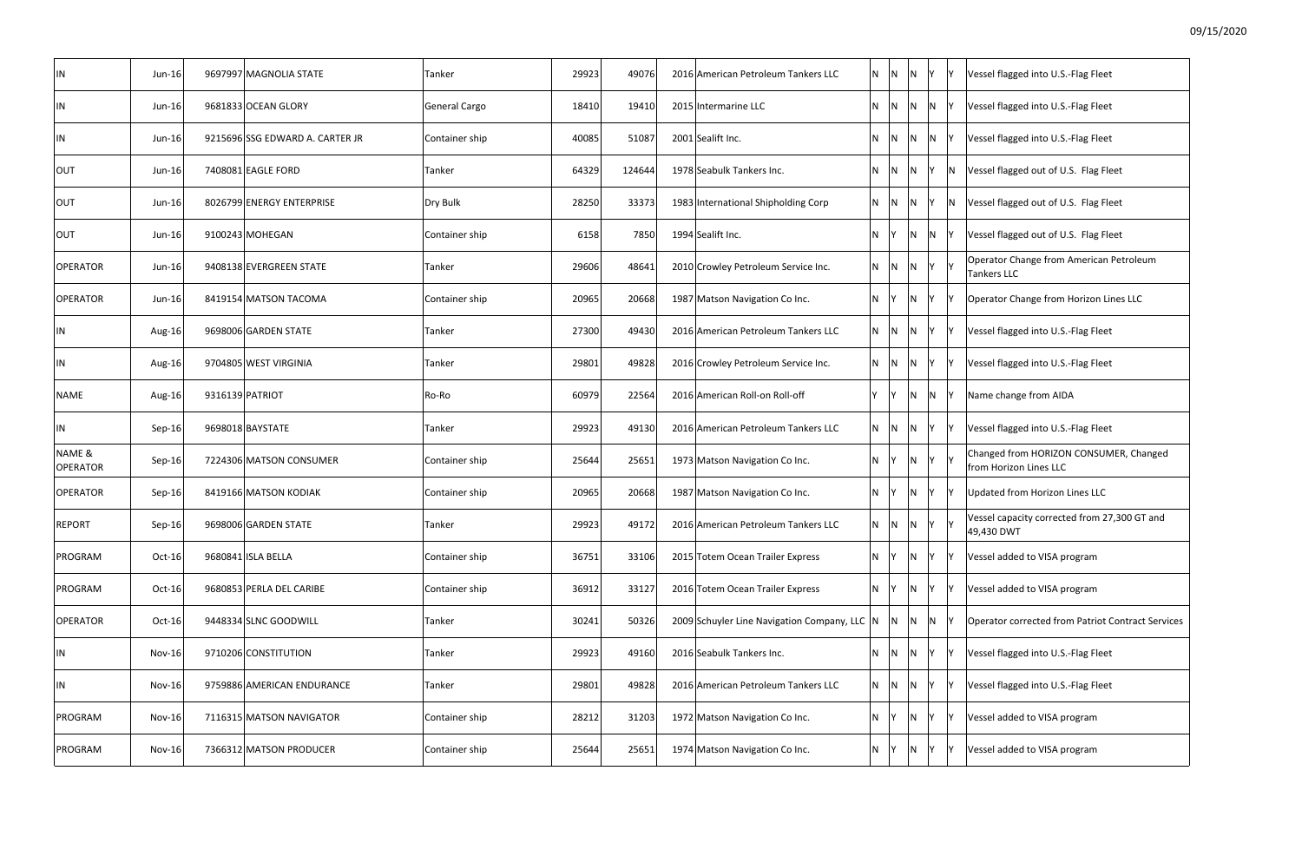| IN                        | $Jun-16$      | 9697997 MAGNOLIA STATE          | Tanker         | 29923 | 49076  | 2016 American Petroleum Tankers LLC          | <b>N</b><br> N | IN.                | Y               |   | Vessel flagged into U.S.-Flag Fleet                              |
|---------------------------|---------------|---------------------------------|----------------|-------|--------|----------------------------------------------|----------------|--------------------|-----------------|---|------------------------------------------------------------------|
| IN                        | Jun-16        | 9681833 OCEAN GLORY             | General Cargo  | 18410 | 19410  | 2015 Intermarine LLC                         | $\overline{N}$ | N                  | N Y             |   | Vessel flagged into U.S.-Flag Fleet                              |
| IN                        | Jun-16        | 9215696 SSG EDWARD A. CARTER JR | Container ship | 40085 | 51087  | 2001 Sealift Inc.                            |                | - IN               | N N Y           |   | Vessel flagged into U.S.-Flag Fleet                              |
| <b>OUT</b>                | Jun-16        | 7408081 EAGLE FORD              | Tanker         | 64329 | 124644 | 1978 Seabulk Tankers Inc.                    | - N            | N                  | IY I            | N | Vessel flagged out of U.S. Flag Fleet                            |
| <b>OUT</b>                | Jun-16        | 8026799 ENERGY ENTERPRISE       | Dry Bulk       | 28250 | 33373  | 1983 International Shipholding Corp          |                |                    | N N N Y N       |   | Vessel flagged out of U.S. Flag Fleet                            |
| OUT                       | Jun-16        | 9100243 MOHEGAN                 | Container ship | 6158  | 7850   | 1994 Sealift Inc.                            | N Y            |                    | $N$ $N$         |   | Vessel flagged out of U.S. Flag Fleet                            |
| <b>OPERATOR</b>           | Jun-16        | 9408138 EVERGREEN STATE         | Tanker         | 29606 | 48641  | 2010 Crowley Petroleum Service Inc.          | $N$ $ N $      |                    | $N$ $Y$ $Y$     |   | Operator Change from American Petroleum<br><b>Tankers LLC</b>    |
| <b>OPERATOR</b>           | Jun-16        | 8419154 MATSON TACOMA           | Container ship | 20965 | 20668  | 1987 Matson Navigation Co Inc.               | IN Y           | N                  | <b>Y</b>        |   | Operator Change from Horizon Lines LLC                           |
| IN                        | Aug-16        | 9698006 GARDEN STATE            | Tanker         | 27300 | 49430  | 2016 American Petroleum Tankers LLC          | N N            | N                  | - IY            |   | Vessel flagged into U.S.-Flag Fleet                              |
| IN                        | Aug-16        | 9704805 WEST VIRGINIA           | Tanker         | 29801 | 49828  | 2016 Crowley Petroleum Service Inc.          | - IN           | - N                | -lY             |   | Vessel flagged into U.S.-Flag Fleet                              |
| NAME                      | Aug-16        | 9316139 PATRIOT                 | Ro-Ro          | 60979 | 22564  | 2016 American Roll-on Roll-off               | - IY           | IN.                | $\overline{N}$  |   | Name change from AIDA                                            |
| IN                        | Sep-16        | 9698018 BAYSTATE                | Tanker         | 29923 | 49130  | 2016 American Petroleum Tankers LLC          | $N$ $N$        | N.                 | IY.             |   | Vessel flagged into U.S.-Flag Fleet                              |
| NAME &<br><b>OPERATOR</b> | Sep-16        | 7224306 MATSON CONSUMER         | Container ship | 25644 | 25651  | 1973 Matson Navigation Co Inc.               | <b>IY</b><br>N | IN.                | $\mathsf{Y}$    |   | Changed from HORIZON CONSUMER, Changed<br>from Horizon Lines LLC |
| <b>OPERATOR</b>           | Sep-16        | 8419166 MATSON KODIAK           | Container ship | 20965 | 20668  | 1987 Matson Navigation Co Inc.               | IN.<br>- IY    | ∣N.                | IY.             |   | Updated from Horizon Lines LLC                                   |
| <b>REPORT</b>             | Sep-16        | 9698006 GARDEN STATE            | Tanker         | 29923 | 49172  | 2016 American Petroleum Tankers LLC          | N              | N,<br>$\mathsf{N}$ |                 |   | Vessel capacity corrected from 27,300 GT and<br>49,430 DWT       |
| PROGRAM                   | Oct-16        | 9680841 ISLA BELLA              | Container ship | 36751 | 33106  | 2015 Totem Ocean Trailer Express             | N.<br>IY.      | $\overline{N}$     | Y               |   | Vessel added to VISA program                                     |
| PROGRAM                   | Oct-16        | 9680853 PERLA DEL CARIBE        | Container ship | 36912 | 33127  | 2016 Totem Ocean Trailer Express             | N Y            | N                  | - IY            |   | Vessel added to VISA program                                     |
| <b>OPERATOR</b>           | $Oct-16$      | 9448334 SLNC GOODWILL           | Tanker         | 30241 | 50326  | 2009 Schuyler Line Navigation Company, LLC N |                |                    | $N$ $N$ $N$     |   | <b>Operator corrected from Patriot Contract Services</b>         |
| IN                        | $Nov-16$      | 9710206 CONSTITUTION            | Tanker         | 29923 | 49160  | 2016 Seabulk Tankers Inc.                    |                |                    | $N$ $N$ $N$ $Y$ |   | Vessel flagged into U.S.-Flag Fleet                              |
| IN                        | $Nov-16$      | 9759886 AMERICAN ENDURANCE      | Tanker         | 29801 | 49828  | 2016 American Petroleum Tankers LLC          | $N$ $N$        |                    | $ N $ $ Y $     |   | Vessel flagged into U.S.-Flag Fleet                              |
| PROGRAM                   | $Nov-16$      | 7116315 MATSON NAVIGATOR        | Container ship | 28212 | 31203  | 1972 Matson Navigation Co Inc.               | $N$ $ Y $      | $\overline{N}$     | Y               |   | Vessel added to VISA program                                     |
| PROGRAM                   | <b>Nov-16</b> | 7366312 MATSON PRODUCER         | Container ship | 25644 | 25651  | 1974 Matson Navigation Co Inc.               | N.<br> Y       | N                  | - IY            |   | Vessel added to VISA program                                     |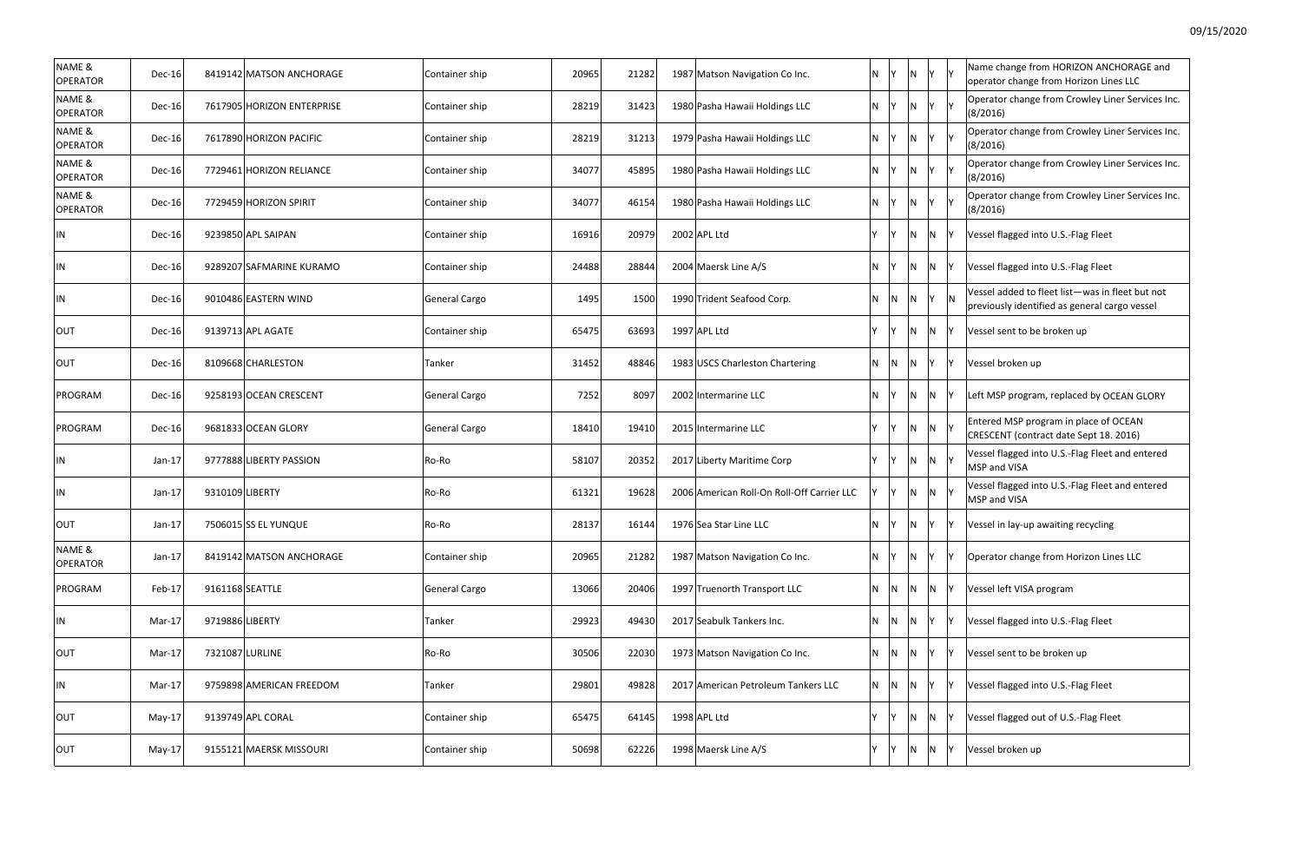|            | Υ | Name change from HORIZON ANCHORAGE and<br>operator change from Horizon Lines LLC                 |
|------------|---|--------------------------------------------------------------------------------------------------|
| $\epsilon$ | Υ | Operator change from Crowley Liner Services Inc.<br>(8/2016)                                     |
| $\epsilon$ | Υ | Operator change from Crowley Liner Services Inc.<br>(8/2016)                                     |
| $\epsilon$ | Υ | Operator change from Crowley Liner Services Inc.<br>(8/2016)                                     |
|            | Υ | Operator change from Crowley Liner Services Inc.<br>(8/2016)                                     |
| √          | Υ | Vessel flagged into U.S.-Flag Fleet                                                              |
| J          | Y | Vessel flagged into U.S.-Flag Fleet                                                              |
| $\epsilon$ | N | Vessel added to fleet list-was in fleet but not<br>previously identified as general cargo vessel |
| √          | Y | Vessel sent to be broken up                                                                      |
| $\epsilon$ | Y | Vessel broken up                                                                                 |
| √          | Υ | Left MSP program, replaced by OCEAN GLORY                                                        |
| √          | Υ | Entered MSP program in place of OCEAN<br>CRESCENT (contract date Sept 18. 2016)                  |
| √          | Υ | Vessel flagged into U.S.-Flag Fleet and entered<br>MSP and VISA                                  |
| √          | Υ | Vessel flagged into U.S.-Flag Fleet and entered<br>MSP and VISA                                  |
| $\epsilon$ | Υ | Vessel in lay-up awaiting recycling                                                              |
| $\epsilon$ | Υ | Operator change from Horizon Lines LLC                                                           |
| √          | Υ | Vessel left VISA program                                                                         |
| $\epsilon$ | Υ | Vessel flagged into U.S.-Flag Fleet                                                              |
|            | Υ | Vessel sent to be broken up                                                                      |
| $\epsilon$ | Υ | Vessel flagged into U.S.-Flag Fleet                                                              |
| √          | Υ | Vessel flagged out of U.S.-Flag Fleet                                                            |
| √          | Υ | Vessel broken up                                                                                 |
|            |   |                                                                                                  |

| NAME &<br><b>OPERATOR</b> | $Dec-16$      | 8419142 MATSON ANCHORAGE   | Container ship | 20965 | 21282 | 1987 Matson Navigation Co Inc.             | $N$ $Y$ |                | $\overline{N}$          |                | IY IY | Name change from HORIZON ANCHORAGE and<br>operator change from Horizon Lines LLC                 |
|---------------------------|---------------|----------------------------|----------------|-------|-------|--------------------------------------------|---------|----------------|-------------------------|----------------|-------|--------------------------------------------------------------------------------------------------|
| NAME &<br><b>OPERATOR</b> | Dec-16        | 7617905 HORIZON ENTERPRISE | Container ship | 28219 | 31423 | 1980 Pasha Hawaii Holdings LLC             | N Y     |                | $\overline{N}$          | Y              |       | Operator change from Crowley Liner Services Inc.<br>(8/2016)                                     |
| NAME &<br><b>OPERATOR</b> | Dec-16        | 7617890 HORIZON PACIFIC    | Container ship | 28219 | 31213 | 1979 Pasha Hawaii Holdings LLC             | N Y     |                | $\overline{N}$          |                | Y Y   | Operator change from Crowley Liner Services Inc.<br>(8/2016)                                     |
| NAME &<br>OPERATOR        | <b>Dec-16</b> | 7729461 HORIZON RELIANCE   | Container ship | 34077 | 45895 | 1980 Pasha Hawaii Holdings LLC             | N Y     |                | $\overline{N}$          | Y.             |       | Operator change from Crowley Liner Services Inc.<br>(8/2016)                                     |
| NAME &<br>OPERATOR        | $Dec-16$      | 7729459 HORIZON SPIRIT     | Container ship | 34077 | 46154 | 1980 Pasha Hawaii Holdings LLC             | N Y     |                | $\overline{\mathsf{N}}$ |                | Y Y   | Operator change from Crowley Liner Services Inc.<br>(8/2016)                                     |
| IN                        | $Dec-16$      | 9239850 APL SAIPAN         | Container ship | 16916 | 20979 | 2002 APL Ltd                               | Y       | İΥ.            | $\overline{N}$          | N              |       | Vessel flagged into U.S.-Flag Fleet                                                              |
| IN                        | $Dec-16$      | 9289207 SAFMARINE KURAMO   | Container ship | 24488 | 28844 | 2004 Maersk Line A/S                       | N.      | IY.            | $\overline{N}$          | N              |       | Vessel flagged into U.S.-Flag Fleet                                                              |
| IN                        | Dec-16        | 9010486 EASTERN WIND       | General Cargo  | 1495  | 1500  | 1990 Trident Seafood Corp.                 | N.      | $\overline{N}$ | $\overline{N}$          | Y              |       | Vessel added to fleet list-was in fleet but not<br>previously identified as general cargo vessel |
| <b>OUT</b>                | <b>Dec-16</b> | 9139713 APL AGATE          | Container ship | 65475 | 63693 | 1997 APL Ltd                               | Y       | $\mathsf{Y}$   | N                       | N              |       | Vessel sent to be broken up                                                                      |
| OUT                       | Dec-16        | 8109668 CHARLESTON         | Tanker         | 31452 | 48846 | 1983 USCS Charleston Chartering            |         | N N            | N                       | Υ              |       | Vessel broken up                                                                                 |
| PROGRAM                   | Dec-16        | 9258193 OCEAN CRESCENT     | General Cargo  | 7252  | 8097  | 2002 Intermarine LLC                       | N.      | - IY           | $\overline{N}$          | N              |       | Left MSP program, replaced by OCEAN GLORY                                                        |
| PROGRAM                   | <b>Dec-16</b> | 9681833 OCEAN GLORY        | General Cargo  | 18410 | 19410 | 2015 Intermarine LLC                       | Y       | $\mathsf{I}$ Y | $\overline{\mathsf{N}}$ | N <sub>Y</sub> |       | Entered MSP program in place of OCEAN<br>CRESCENT (contract date Sept 18. 2016)                  |
| IN                        | $Jan-17$      | 9777888 LIBERTY PASSION    | Ro-Ro          | 58107 | 20352 | 2017 Liberty Maritime Corp                 | Y       | Y              | $\overline{N}$          | N Y            |       | Vessel flagged into U.S.-Flag Fleet and entered<br>MSP and VISA                                  |
| IN                        | $Jan-17$      | 9310109 LIBERTY            | Ro-Ro          | 61321 | 19628 | 2006 American Roll-On Roll-Off Carrier LLC |         | Y              | $\overline{N}$          | N <sub>Y</sub> |       | Vessel flagged into U.S.-Flag Fleet and entered<br>MSP and VISA                                  |
| OUT                       | $Jan-17$      | 7506015 SS EL YUNQUE       | Ro-Ro          | 28137 | 16144 | 1976 Sea Star Line LLC                     | N       | İΥ.            | $\overline{N}$          | Y              |       | Vessel in lay-up awaiting recycling                                                              |
| NAME &<br><b>OPERATOR</b> | $Jan-17$      | 8419142 MATSON ANCHORAGE   | Container ship | 20965 | 21282 | 1987 Matson Navigation Co Inc.             | N       |                | IN.                     | Υ              |       | Operator change from Horizon Lines LLC                                                           |
| PROGRAM                   | Feb-17        | 9161168 SEATTLE            | General Cargo  | 13066 | 20406 | 1997 Truenorth Transport LLC               |         | $N$ $N$        | IN.                     | N              |       | Vessel left VISA program                                                                         |
| IN                        | Mar-17        | 9719886 LIBERTY            | Tanker         | 29923 | 49430 | 2017 Seabulk Tankers Inc.                  | N.      | $\overline{N}$ | $\overline{N}$          | Υ              |       | Vessel flagged into U.S.-Flag Fleet                                                              |
| OUT                       | Mar-17        | 7321087 LURLINE            | Ro-Ro          | 30506 | 22030 | 1973 Matson Navigation Co Inc.             |         | N N            | $\overline{N}$          |                |       | Vessel sent to be broken up                                                                      |
| IN                        | Mar-17        | 9759898 AMERICAN FREEDOM   | Tanker         | 29801 | 49828 | 2017 American Petroleum Tankers LLC        |         | N N            | $\overline{N}$          |                |       | Vessel flagged into U.S.-Flag Fleet                                                              |
| OUT                       | May-17        | 9139749 APL CORAL          | Container ship | 65475 | 64145 | 1998 APL Ltd                               | Y       |                | $\overline{N}$          | N              |       | Vessel flagged out of U.S.-Flag Fleet                                                            |
| OUT                       | May-17        | 9155121 MAERSK MISSOURI    | Container ship | 50698 | 62226 | 1998 Maersk Line A/S                       | Y       | IY.            | N                       | N              |       | Vessel broken up                                                                                 |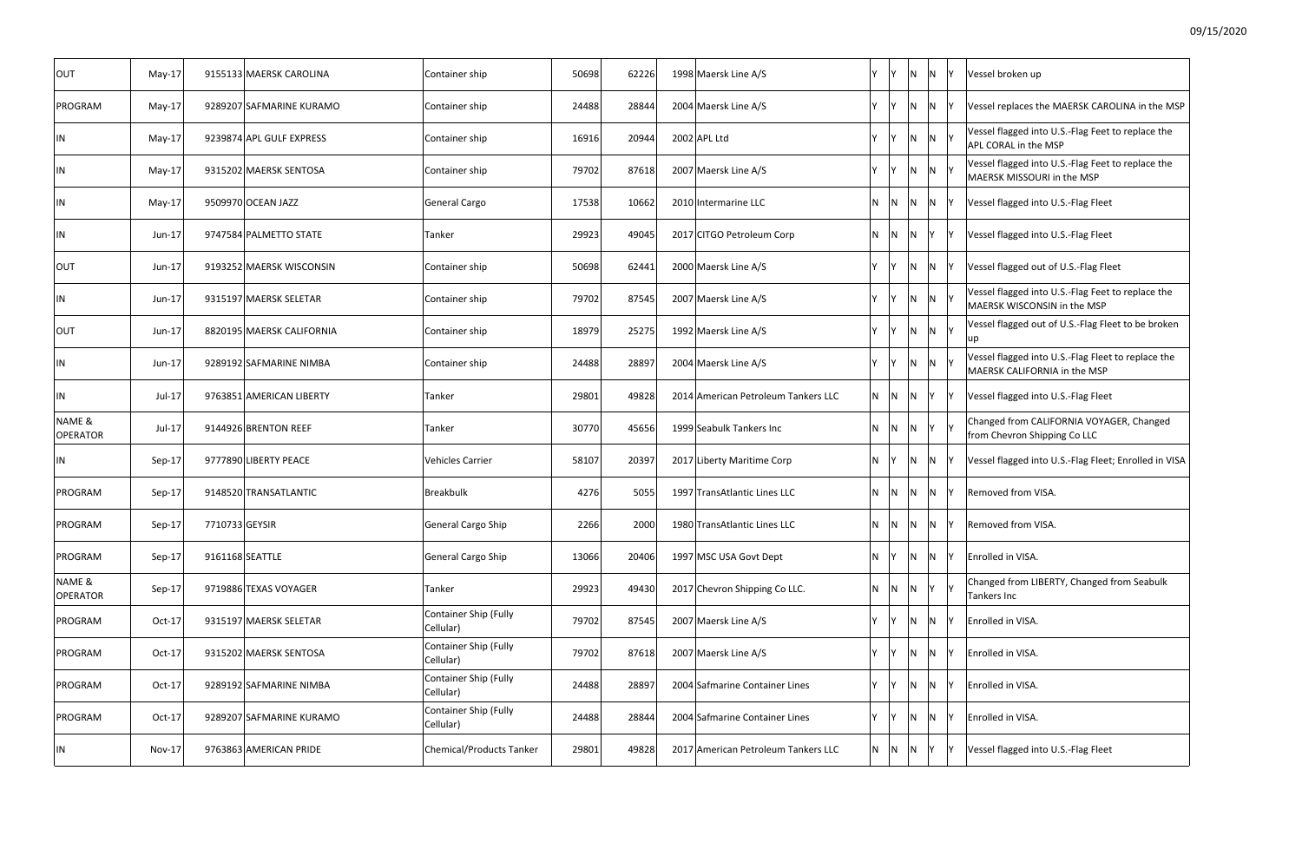| <b>OUT</b>                | $May-17$      | 9155133 MAERSK CAROLINA   | Container ship                     | 50698 | 62226 | 1998 Maersk Line A/S                | Y       |           | $\mathsf{N}$            | $\mathsf{N}$              |      | Vessel broken up                                                                   |
|---------------------------|---------------|---------------------------|------------------------------------|-------|-------|-------------------------------------|---------|-----------|-------------------------|---------------------------|------|------------------------------------------------------------------------------------|
| PROGRAM                   | $May-17$      | 9289207 SAFMARINE KURAMO  | Container ship                     | 24488 | 28844 | 2004 Maersk Line A/S                |         | Y Y       | $\mathsf{N}$            | IN.                       |      | Vessel replaces the MAERSK CAROLINA in the MSP                                     |
| IN                        | May-17        | 9239874 APL GULF EXPRESS  | Container ship                     | 16916 | 20944 | 2002 APL Ltd                        | Y       | Y         | N                       | N <sub>Y</sub>            |      | Vessel flagged into U.S.-Flag Feet to replace the<br>APL CORAL in the MSP          |
| IN                        | $May-17$      | 9315202 MAERSK SENTOSA    | Container ship                     | 79702 | 87618 | 2007 Maersk Line A/S                | Y       |           | N                       | N                         |      | Vessel flagged into U.S.-Flag Feet to replace the<br>MAERSK MISSOURI in the MSP    |
| IN                        | $May-17$      | 9509970 OCEAN JAZZ        | General Cargo                      | 17538 | 10662 | 2010 Intermarine LLC                |         | N N       | $N$ $N$ $Y$             |                           |      | Vessel flagged into U.S.-Flag Fleet                                                |
| IN                        | Jun-17        | 9747584 PALMETTO STATE    | Tanker                             | 29923 | 49045 | 2017 CITGO Petroleum Corp           | N       | IN.       | $\overline{\mathsf{N}}$ | Y                         |      | Vessel flagged into U.S.-Flag Fleet                                                |
| <b>OUT</b>                | Jun-17        | 9193252 MAERSK WISCONSIN  | Container ship                     | 50698 | 62441 | 2000 Maersk Line A/S                | Y       |           | $\overline{\mathsf{N}}$ | $\mathsf{N}$              |      | Vessel flagged out of U.S.-Flag Fleet                                              |
| IN                        | Jun-17        | 9315197 MAERSK SELETAR    | Container ship                     | 79702 | 87545 | 2007 Maersk Line A/S                | Y.      |           | N                       | N                         |      | Vessel flagged into U.S.-Flag Feet to replace the<br>MAERSK WISCONSIN in the MSP   |
| <b>OUT</b>                | Jun-17        | 8820195 MAERSK CALIFORNIA | Container ship                     | 18979 | 25275 | 1992 Maersk Line A/S                | Υ       |           | N                       | N <sub>Y</sub>            |      | Vessel flagged out of U.S.-Flag Fleet to be broken<br>up                           |
| IN                        | Jun-17        | 9289192 SAFMARINE NIMBA   | Container ship                     | 24488 | 28897 | 2004 Maersk Line A/S                |         |           | N.                      | N                         |      | Vessel flagged into U.S.-Flag Fleet to replace the<br>MAERSK CALIFORNIA in the MSP |
| IN                        | Jul-17        | 9763851 AMERICAN LIBERTY  | Tanker                             | 29801 | 49828 | 2014 American Petroleum Tankers LLC |         | $N$ $ N $ | $\mathsf{N}$            | <b>Y</b>                  | - IY | Vessel flagged into U.S.-Flag Fleet                                                |
| NAME &<br>OPERATOR        | Jul-17        | 9144926 BRENTON REEF      | Tanker                             | 30770 | 45656 | 1999 Seabulk Tankers Inc            | N.      | N         | N                       | $\mathsf{Y}$ $\mathsf{Y}$ |      | Changed from CALIFORNIA VOYAGER, Changed<br>from Chevron Shipping Co LLC           |
| IN                        | Sep-17        | 9777890 LIBERTY PEACE     | Vehicles Carrier                   | 58107 | 20397 | 2017 Liberty Maritime Corp          | N Y     |           | $\mathsf{N}$            | IN.                       | - IY | Vessel flagged into U.S.-Flag Fleet; Enrolled in VISA                              |
| PROGRAM                   | Sep-17        | 9148520 TRANSATLANTIC     | Breakbulk                          | 4276  | 5055  | 1997 TransAtlantic Lines LLC        |         | N N       | $\mathsf{N}$            | $\mathsf{N}$              |      | Removed from VISA.                                                                 |
| PROGRAM                   | Sep-17        | 7710733 GEYSIR            | General Cargo Ship                 | 2266  | 2000  | 1980 TransAtlantic Lines LLC        | N.      | IN.       | IN.                     | $\mathsf{N}$              | Y    | Removed from VISA.                                                                 |
| PROGRAM                   | Sep-17        | 9161168 SEATTLE           | General Cargo Ship                 | 13066 | 20406 | 1997 MSC USA Govt Dept              | N.      |           | <b>N</b>                | $\mathsf{N}$              |      | Enrolled in VISA.                                                                  |
| NAME &<br><b>OPERATOR</b> | Sep-17        | 9719886 TEXAS VOYAGER     | Tanker                             | 29923 | 49430 | 2017 Chevron Shipping Co LLC.       | $N$ $N$ |           | N                       | Y                         |      | Changed from LIBERTY, Changed from Seabulk<br>Tankers Inc                          |
| PROGRAM                   | Oct-17        | 9315197 MAERSK SELETAR    | Container Ship (Fully<br>Cellular) | 79702 | 87545 | 2007 Maersk Line A/S                | Y       |           | $\overline{\mathsf{N}}$ | IN.                       |      | Enrolled in VISA.                                                                  |
| PROGRAM                   | Oct-17        | 9315202 MAERSK SENTOSA    | Container Ship (Fully<br>Cellular) | 79702 | 87618 | 2007 Maersk Line A/S                |         |           | <b>N</b>                | IN.                       |      | Enrolled in VISA.                                                                  |
| PROGRAM                   | Oct-17        | 9289192 SAFMARINE NIMBA   | Container Ship (Fully<br>Cellular) | 24488 | 28897 | 2004 Safmarine Container Lines      |         |           | IN.                     | IN.                       |      | Enrolled in VISA.                                                                  |
| PROGRAM                   | Oct-17        | 9289207 SAFMARINE KURAMO  | Container Ship (Fully<br>Cellular) | 24488 | 28844 | 2004 Safmarine Container Lines      |         |           | IN.                     | IN.                       |      | Enrolled in VISA.                                                                  |
| IN                        | <b>Nov-17</b> | 9763863 AMERICAN PRIDE    | Chemical/Products Tanker           | 29801 | 49828 | 2017 American Petroleum Tankers LLC | N       | IN        | IN.                     |                           |      | Vessel flagged into U.S.-Flag Fleet                                                |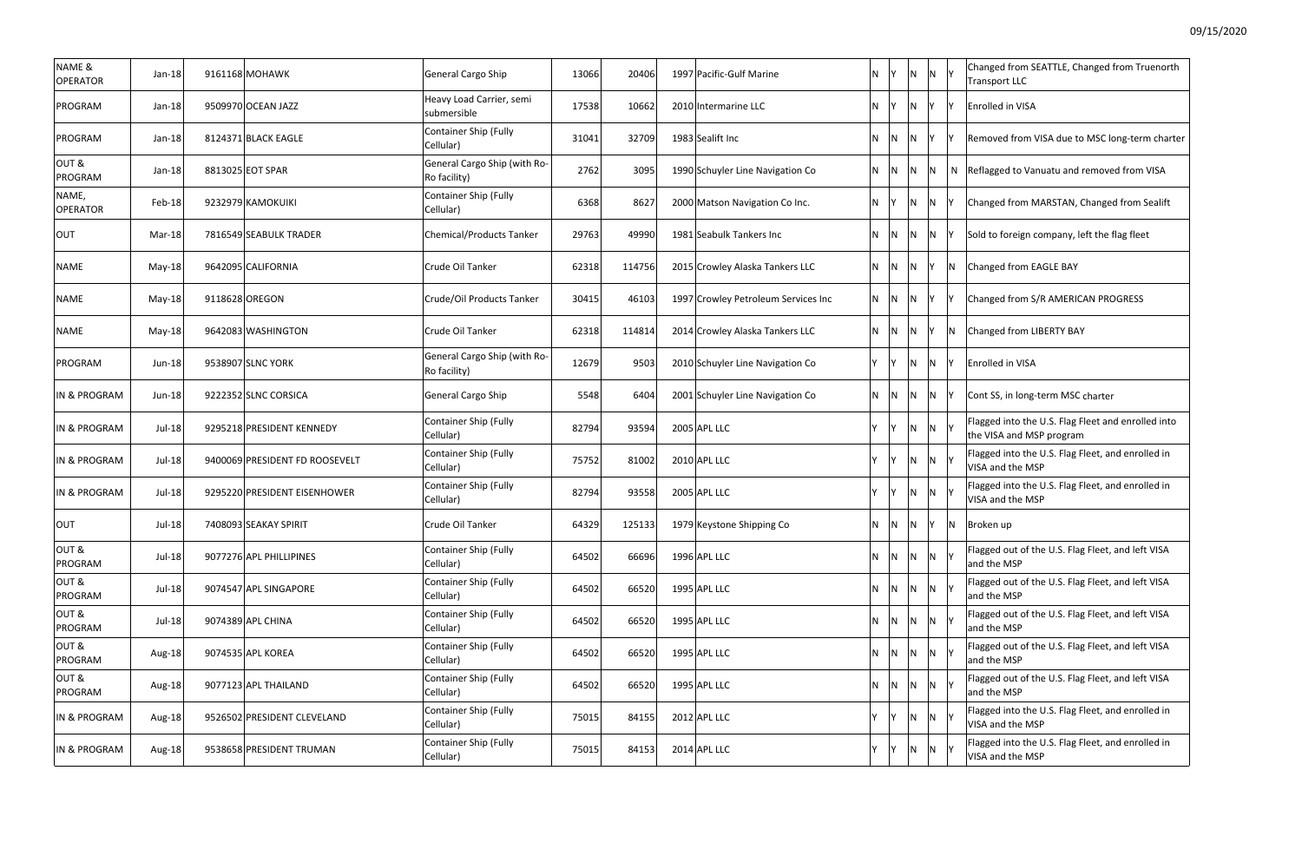| Changed from SEATTLE, Changed from Truenorth<br><b>Transport LLC</b>           |
|--------------------------------------------------------------------------------|
| Enrolled in VISA                                                               |
| Removed from VISA due to MSC long-term charter                                 |
| Reflagged to Vanuatu and removed from VISA                                     |
| Changed from MARSTAN, Changed from Sealift                                     |
| Sold to foreign company, left the flag fleet                                   |
| Changed from EAGLE BAY                                                         |
| Changed from S/R AMERICAN PROGRESS                                             |
| <b>Changed from LIBERTY BAY</b>                                                |
| <b>Enrolled in VISA</b>                                                        |
| Cont SS, in long-term MSC charter                                              |
| Flagged into the U.S. Flag Fleet and enrolled into<br>the VISA and MSP program |
| Flagged into the U.S. Flag Fleet, and enrolled in<br>VISA and the MSP          |
| Flagged into the U.S. Flag Fleet, and enrolled in<br>VISA and the MSP          |
| Broken up                                                                      |
| Flagged out of the U.S. Flag Fleet, and left VISA<br>and the MSP               |
| Flagged out of the U.S. Flag Fleet, and left VISA<br>and the MSP               |
| Flagged out of the U.S. Flag Fleet, and left VISA<br>and the MSP               |
| Flagged out of the U.S. Flag Fleet, and left VISA<br>and the MSP               |
| Flagged out of the U.S. Flag Fleet, and left VISA<br>and the MSP               |
| Flagged into the U.S. Flag Fleet, and enrolled in<br>VISA and the MSP          |
| Flagged into the U.S. Flag Fleet, and enrolled in<br>VISA and the MSP          |

| NAME &<br>OPERATOR       | $Jan-18$ | 9161168 MOHAWK                 | General Cargo Ship                           | 13066 | 20406  | 1997 Pacific-Gulf Marine            | N        | Y                       | $\overline{N}$ | N                       |     | Changed from SEATTLE, Changed from Truenorth<br><b>Transport LLC</b>           |
|--------------------------|----------|--------------------------------|----------------------------------------------|-------|--------|-------------------------------------|----------|-------------------------|----------------|-------------------------|-----|--------------------------------------------------------------------------------|
| PROGRAM                  | Jan-18   | 9509970 OCEAN JAZZ             | Heavy Load Carrier, semi<br>submersible      | 17538 | 10662  | 2010 Intermarine LLC                | N.       | $Y$ N $Y$               |                |                         |     | Enrolled in VISA                                                               |
| PROGRAM                  | Jan-18   | 8124371 BLACK EAGLE            | <b>Container Ship (Fully</b><br>Cellular)    | 31041 | 32709  | 1983 Sealift Inc                    | N.       | $\mathsf{N}$            | N              | IY I                    |     | Removed from VISA due to MSC long-term charter                                 |
| OUT&<br>PROGRAM          | $Jan-18$ | 8813025 EOT SPAR               | General Cargo Ship (with Ro-<br>Ro facility) | 2762  | 3095   | 1990 Schuyler Line Navigation Co    | N.       | $N$ $N$                 |                | $\overline{\mathsf{N}}$ | N   | Reflagged to Vanuatu and removed from VISA                                     |
| NAME,<br><b>OPERATOR</b> | Feb-18   | 9232979 KAMOKUIKI              | <b>Container Ship (Fully</b><br>Cellular)    | 6368  | 8627   | 2000 Matson Navigation Co Inc.      | N.       | Y                       | N              | $\overline{\mathsf{N}}$ |     | Changed from MARSTAN, Changed from Sealift                                     |
| OUT                      | Mar-18   | 7816549 SEABULK TRADER         | <b>Chemical/Products Tanker</b>              | 29763 | 49990  | 1981 Seabulk Tankers Inc            | N.       | $\mathsf{N}$            | $\mathsf{N}$   | $\overline{N}$          |     | Sold to foreign company, left the flag fleet                                   |
| <b>NAME</b>              | $May-18$ | 9642095 CALIFORNIA             | Crude Oil Tanker                             | 62318 | 114756 | 2015 Crowley Alaska Tankers LLC     | N.       | $\overline{N}$          | N              | IY I                    | IN. | Changed from EAGLE BAY                                                         |
| <b>NAME</b>              | May-18   | 9118628 OREGON                 | Crude/Oil Products Tanker                    | 30415 | 46103  | 1997 Crowley Petroleum Services Inc | N.       | $\overline{N}$          | N              | IY.                     |     | Changed from S/R AMERICAN PROGRESS                                             |
| <b>NAME</b>              | May-18   | 9642083 WASHINGTON             | Crude Oil Tanker                             | 62318 | 114814 | 2014 Crowley Alaska Tankers LLC     | N.       | N                       | N              | Y                       | IN. | Changed from LIBERTY BAY                                                       |
| PROGRAM                  | $Jun-18$ | 9538907 SLNC YORK              | General Cargo Ship (with Ro-<br>Ro facility) | 12679 | 9503   | 2010 Schuyler Line Navigation Co    | Y        | IY I                    | $\overline{N}$ | $\overline{N}$          |     | Enrolled in VISA                                                               |
| IN & PROGRAM             | Jun-18   | 9222352 SLNC CORSICA           | General Cargo Ship                           | 5548  | 6404   | 2001 Schuyler Line Navigation Co    | N.       | IN.                     | N              | N                       |     | Cont SS, in long-term MSC charter                                              |
| <b>IN &amp; PROGRAM</b>  | Jul-18   | 9295218 PRESIDENT KENNEDY      | <b>Container Ship (Fully</b><br>Cellular)    | 82794 | 93594  | 2005 APL LLC                        | $\vee$   | Y                       | $\overline{N}$ | $\overline{N}$          |     | Flagged into the U.S. Flag Fleet and enrolled into<br>the VISA and MSP program |
| IN & PROGRAM             | Jul-18   | 9400069 PRESIDENT FD ROOSEVELT | Container Ship (Fully<br>Cellular)           | 75752 | 81002  | 2010 APL LLC                        | <b>Y</b> | Y                       | N              | $\overline{N}$          |     | Flagged into the U.S. Flag Fleet, and enrolled in<br>VISA and the MSP          |
| <b>IN &amp; PROGRAM</b>  | Jul-18   | 9295220 PRESIDENT EISENHOWER   | <b>Container Ship (Fully</b><br>Cellular)    | 82794 | 93558  | 2005 APL LLC                        | <b>Y</b> | IY.                     | $\overline{N}$ | N                       |     | Flagged into the U.S. Flag Fleet, and enrolled in<br>VISA and the MSP          |
| <b>OUT</b>               | Jul-18   | 7408093 SEAKAY SPIRIT          | Crude Oil Tanker                             | 64329 | 125133 | 1979 Keystone Shipping Co           | N        | $\mathsf{N}$            | N              | IY.                     | IN. | Broken up                                                                      |
| OUT&<br>PROGRAM          | Jul-18   | 9077276 APL PHILLIPINES        | <b>Container Ship (Fully</b><br>Cellular)    | 64502 | 66696  | 1996 APL LLC                        | N.       | IN.                     | IN.            | $\overline{N}$          |     | Flagged out of the U.S. Flag Fleet, and left VISA<br>and the MSP               |
| OUT&<br>PROGRAM          | Jul-18   | 9074547 APL SINGAPORE          | <b>Container Ship (Fully</b><br>Cellular)    | 64502 | 66520  | 1995 APL LLC                        | N        | $\overline{\mathsf{N}}$ | $\overline{N}$ | $\overline{\mathsf{N}}$ |     | Flagged out of the U.S. Flag Fleet, and left VISA<br>and the MSP               |
| OUT&<br>PROGRAM          | Jul-18   | 9074389 APL CHINA              | <b>Container Ship (Fully</b><br>Cellular)    | 64502 | 66520  | 1995 APL LLC                        | N        | $\mathsf{N}$            | $\mathsf{N}$   | $\overline{N}$          |     | Flagged out of the U.S. Flag Fleet, and left VISA<br>and the MSP               |
| OUT&<br>PROGRAM          | Aug-18   | 9074535 APL KOREA              | <b>Container Ship (Fully</b><br>Cellular)    | 64502 | 66520  | 1995 APL LLC                        | <b>N</b> | $\mathsf{N}$            | IN.            | $\overline{\mathsf{N}}$ |     | Flagged out of the U.S. Flag Fleet, and left VISA<br>and the MSP               |
| OUT&<br>PROGRAM          | Aug-18   | 9077123 APL THAILAND           | <b>Container Ship (Fully</b><br>Cellular)    | 64502 | 66520  | 1995 APL LLC                        | <b>N</b> | $\mathsf{N}$            | N.             | $\overline{\mathsf{N}}$ |     | Flagged out of the U.S. Flag Fleet, and left VISA<br>and the MSP               |
| IN & PROGRAM             | Aug-18   | 9526502 PRESIDENT CLEVELAND    | Container Ship (Fully<br>Cellular)           | 75015 | 84155  | 2012 APL LLC                        | Y        | IY.                     | IN.            | $\mathsf{N}$            |     | Flagged into the U.S. Flag Fleet, and enrolled in<br>VISA and the MSP          |
| IN & PROGRAM             | Aug-18   | 9538658 PRESIDENT TRUMAN       | <b>Container Ship (Fully</b><br>Cellular)    | 75015 | 84153  | 2014 APL LLC                        |          |                         | IN.            | $\mathsf{N}$            |     | Flagged into the U.S. Flag Fleet, and enrolled in<br>VISA and the MSP          |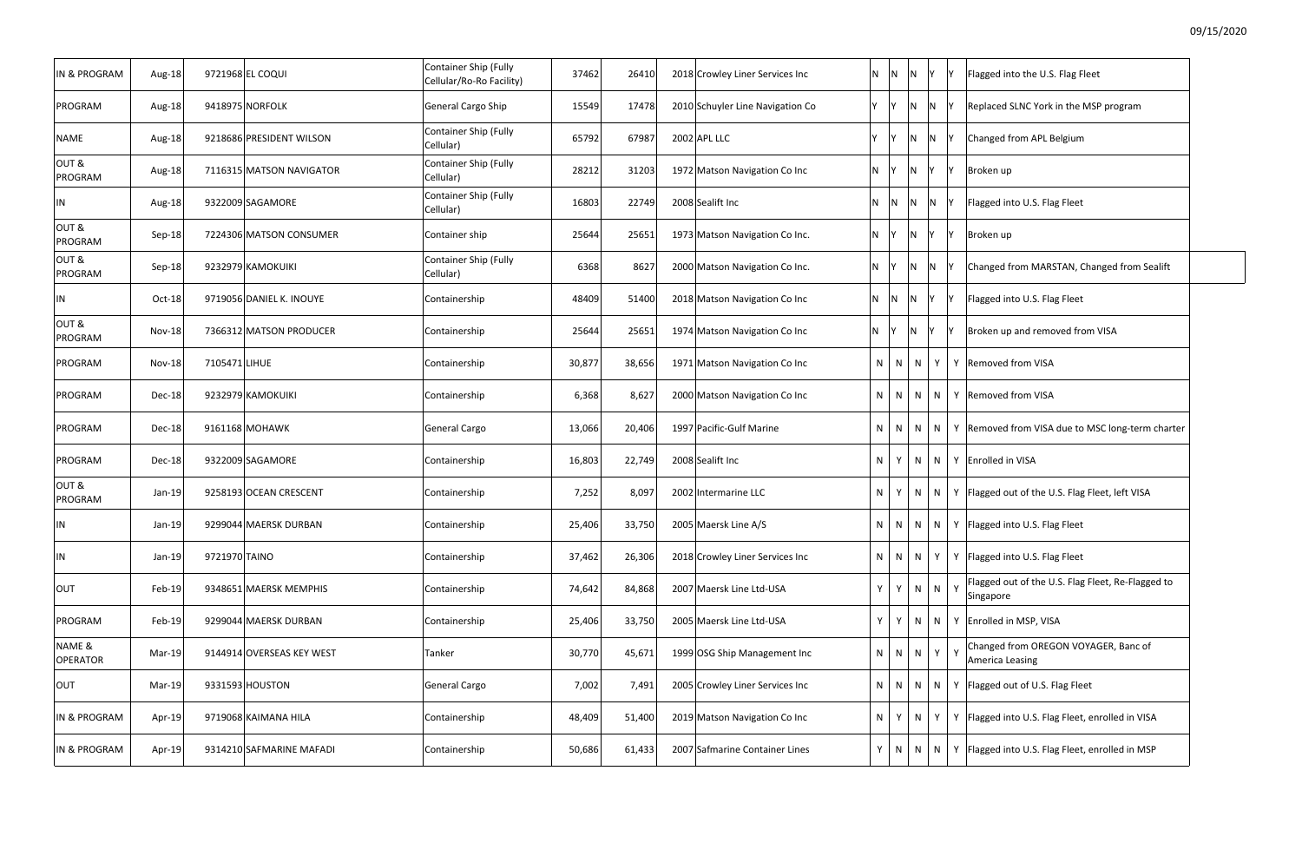| IN & PROGRAM              | Aug-18        | 9721968 EL COQUI          | Container Ship (Fully<br>Cellular/Ro-Ro Facility) | 37462  | 26410  | 2018 Crowley Liner Services Inc  | $N$ $N$  | N         |                | İΥ.                     | Flagged into the U.S. Flag Fleet<br>IY.                        |
|---------------------------|---------------|---------------------------|---------------------------------------------------|--------|--------|----------------------------------|----------|-----------|----------------|-------------------------|----------------------------------------------------------------|
| PROGRAM                   | Aug-18        | 9418975 NORFOLK           | General Cargo Ship                                | 15549  | 17478  | 2010 Schuyler Line Navigation Co | Y Y      |           | - IN           | $\overline{\mathsf{N}}$ | Replaced SLNC York in the MSP program<br><b>IY</b>             |
| NAME                      | Aug-18        | 9218686 PRESIDENT WILSON  | Container Ship (Fully<br>Cellular)                | 65792  | 67987  | 2002 APL LLC                     |          | IY.       | $\mathsf{N}$   | <b>N</b>                | Changed from APL Belgium<br>IY.                                |
| OUT&<br>PROGRAM           | Aug-18        | 7116315 MATSON NAVIGATOR  | Container Ship (Fully<br>Cellular)                | 28212  | 31203  | 1972 Matson Navigation Co Inc    | N Y      |           | $\mathsf{N}$   | IY.                     | lY.<br>Broken up                                               |
| ΙN                        | Aug-18        | 9322009 SAGAMORE          | Container Ship (Fully<br>Cellular)                | 16803  | 22749  | 2008 Sealift Inc                 | $N$ $ N$ |           | - N            | IN.                     | Flagged into U.S. Flag Fleet<br>- IY                           |
| OUT&<br>PROGRAM           | Sep-18        | 7224306 MATSON CONSUMER   | Container ship                                    | 25644  | 25651  | 1973 Matson Navigation Co Inc.   | $N$ $Y$  |           | $\overline{N}$ | <b>V</b>                | lY.<br>Broken up                                               |
| OUT&<br>PROGRAM           | Sep-18        | 9232979 KAMOKUIKI         | Container Ship (Fully<br>Cellular)                | 6368   | 8627   | 2000 Matson Navigation Co Inc.   | N Y      |           | $\mathsf{N}$   | <b>N</b>                | Changed from MARSTAN, Changed from Sealift<br>IY.              |
| ΙN                        | Oct-18        | 9719056 DANIEL K. INOUYE  | Containership                                     | 48409  | 51400  | 2018 Matson Navigation Co Inc    | $N$ $ N$ |           | - N            | <b>Y</b>                | Flagged into U.S. Flag Fleet<br>IY.                            |
| OUT&<br>PROGRAM           | <b>Nov-18</b> | 7366312 MATSON PRODUCER   | Containership                                     | 25644  | 25651  | 1974 Matson Navigation Co Inc    | N IY     |           | - IN           | IY.                     | Broken up and removed from VISA<br>- IY                        |
| PROGRAM                   | <b>Nov-18</b> | 7105471 LIHUE             | Containership                                     | 30,877 | 38,656 | 1971 Matson Navigation Co Inc    |          | $N$   $N$ | N              | Y                       | Y Removed from VISA                                            |
| PROGRAM                   | Dec-18        | 9232979 KAMOKUIKI         | Containership                                     | 6,368  | 8,627  | 2000 Matson Navigation Co Inc    |          | $N$   $N$ | N              | N                       | Y Removed from VISA                                            |
| PROGRAM                   | Dec-18        | 9161168 MOHAWK            | General Cargo                                     | 13,066 | 20,406 | 1997 Pacific-Gulf Marine         |          | $N$   $N$ | N              | N                       | Y Removed from VISA due to MSC long-term charter               |
| PROGRAM                   | Dec-18        | 9322009 SAGAMORE          | Containership                                     | 16,803 | 22,749 | 2008 Sealift Inc                 | N        | Y         | N              | N                       | Y Enrolled in VISA                                             |
| OUT&<br>PROGRAM           | Jan-19        | 9258193 OCEAN CRESCENT    | Containership                                     | 7,252  | 8,097  | 2002 Intermarine LLC             |          | $N$ $Y$   | N              | N                       | Y   Flagged out of the U.S. Flag Fleet, left VISA              |
| ΙN                        | Jan-19        | 9299044 MAERSK DURBAN     | Containership                                     | 25,406 | 33,750 | 2005 Maersk Line A/S             |          |           |                |                         | $N \mid N \mid N \mid N \mid Y$   Flagged into U.S. Flag Fleet |
| IN                        | Jan-19        | 9721970 TAINO             | Containership                                     | 37,462 | 26,306 | 2018 Crowley Liner Services Inc  |          | $N$ $N$   | N              | Y                       | Y   Flagged into U.S. Flag Fleet                               |
| <b>OUT</b>                | Feb-19        | 9348651 MAERSK MEMPHIS    | Containership                                     | 74,642 | 84,868 | 2007 Maersk Line Ltd-USA         | Y        | Y         |                | $N$ $N$ $Y$             | Flagged out of the U.S. Flag Fleet, Re-Flagged to<br>Singapore |
| PROGRAM                   | Feb-19        | 9299044 MAERSK DURBAN     | Containership                                     | 25,406 | 33,750 | 2005 Maersk Line Ltd-USA         |          | $Y$   $Y$ | N              | N                       | Y Enrolled in MSP, VISA                                        |
| NAME &<br><b>OPERATOR</b> | Mar-19        | 9144914 OVERSEAS KEY WEST | Tanker                                            | 30,770 | 45,671 | 1999 OSG Ship Management Inc     |          | $N$ $N$   | N              | $Y \mid$                | Changed from OREGON VOYAGER, Banc of<br>America Leasing        |
| OUT                       | Mar-19        | 9331593 HOUSTON           | General Cargo                                     | 7,002  | 7,491  | 2005 Crowley Liner Services Inc  |          | $N$   $N$ | N              | N                       | Y   Flagged out of U.S. Flag Fleet                             |
| IN & PROGRAM              | Apr-19        | 9719068 KAIMANA HILA      | Containership                                     | 48,409 | 51,400 | 2019 Matson Navigation Co Inc    | $N$ $Y$  |           | N.             | Y                       | Y   Flagged into U.S. Flag Fleet, enrolled in VISA             |
| IN & PROGRAM              | Apr-19        | 9314210 SAFMARINE MAFADI  | Containership                                     | 50,686 | 61,433 | 2007 Safmarine Container Lines   |          | $Y$ N N   |                | N                       | Y   Flagged into U.S. Flag Fleet, enrolled in MSP              |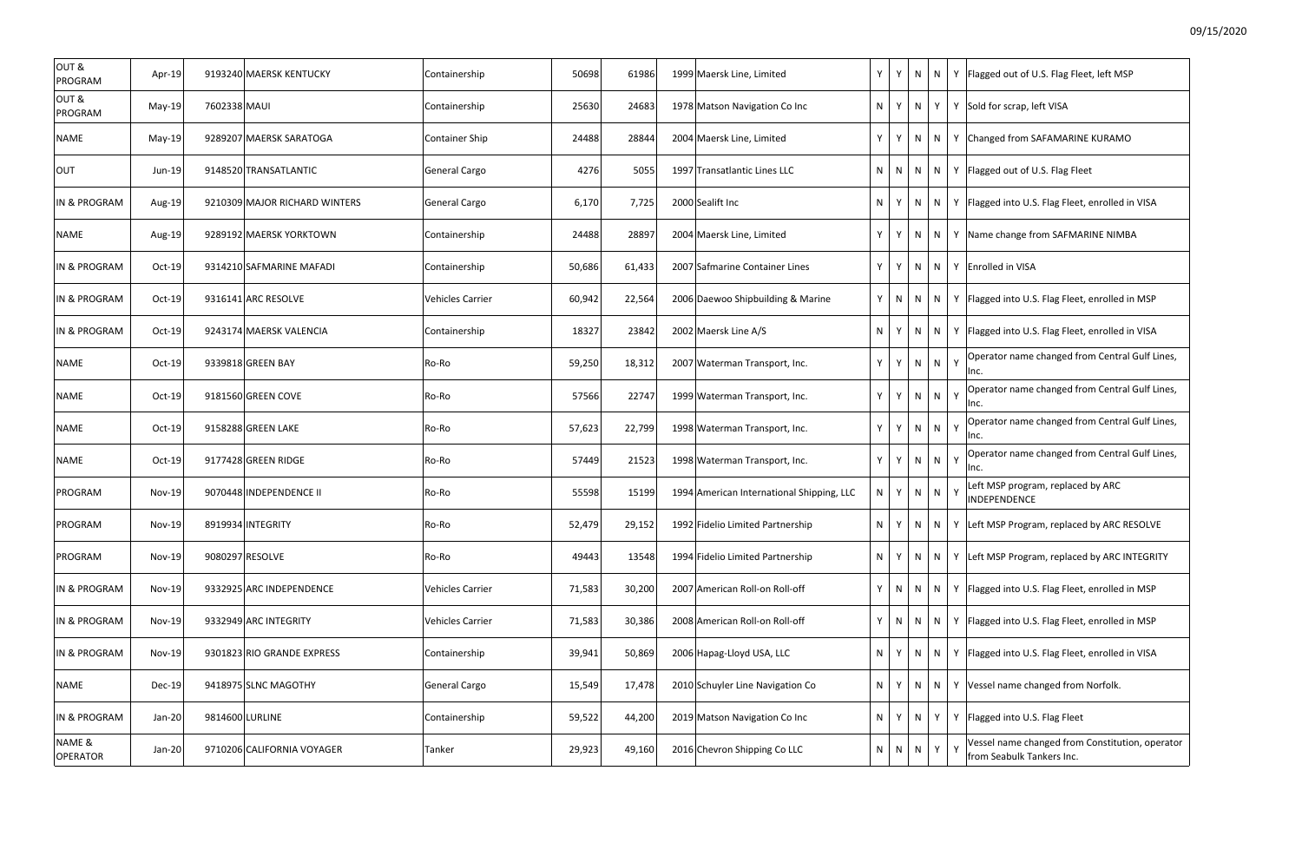| OUT&<br>PROGRAM           | Apr-19        |              | 9193240 MAERSK KENTUCKY       | Containership           | 50698  | 61986  | 1999 Maersk Line, Limited                 | Y   | Y  |              |           |   | $N \mid N \mid Y$ Flagged out of U.S. Flag Fleet, left MSP                   |
|---------------------------|---------------|--------------|-------------------------------|-------------------------|--------|--------|-------------------------------------------|-----|----|--------------|-----------|---|------------------------------------------------------------------------------|
| OUT&<br>PROGRAM           | $May-19$      | 7602338 MAUI |                               | Containership           | 25630  | 24683  | 1978 Matson Navigation Co Inc             |     |    | $N$ $Y$ $N$  |           |   | Y   Y Sold for scrap, left VISA                                              |
| <b>NAME</b>               | $May-19$      |              | 9289207 MAERSK SARATOGA       | <b>Container Ship</b>   | 24488  | 28844  | 2004 Maersk Line, Limited                 |     | YY |              |           |   | $N$   $N$   $Y$   Changed from SAFAMARINE KURAMO                             |
| <b>OUT</b>                | $Jun-19$      |              | 9148520 TRANSATLANTIC         | General Cargo           | 4276   | 5055   | 1997 Transatlantic Lines LLC              | N I |    |              |           |   | $N \mid N \mid N \mid Y$ Flagged out of U.S. Flag Fleet                      |
| <b>IN &amp; PROGRAM</b>   | Aug-19        |              | 9210309 MAJOR RICHARD WINTERS | General Cargo           | 6,170  | 7,725  | 2000 Sealift Inc                          | N   | YI |              |           |   | $N$   N   Y   Flagged into U.S. Flag Fleet, enrolled in VISA                 |
| NAME                      | Aug-19        |              | 9289192 MAERSK YORKTOWN       | Containership           | 24488  | 28897  | 2004 Maersk Line, Limited                 | YI  | Y  |              | $N$   $N$ |   | Y Name change from SAFMARINE NIMBA                                           |
| <b>IN &amp; PROGRAM</b>   | Oct-19        |              | 9314210 SAFMARINE MAFADI      | Containership           | 50,686 | 61,433 | 2007 Safmarine Container Lines            | YI  | Y  |              |           |   | $N \mid N \mid Y$ Enrolled in VISA                                           |
| IN & PROGRAM              | $Oct-19$      |              | 9316141 ARC RESOLVE           | <b>Vehicles Carrier</b> | 60,942 | 22,564 | 2006 Daewoo Shipbuilding & Marine         |     | N  | N            | N         |   | Y   Flagged into U.S. Flag Fleet, enrolled in MSP                            |
| <b>IN &amp; PROGRAM</b>   | $Oct-19$      |              | 9243174 MAERSK VALENCIA       | Containership           | 18327  | 23842  | 2002 Maersk Line A/S                      | N.  | Y  | N            |           |   | $N$ $\mid$ Y Flagged into U.S. Flag Fleet, enrolled in VISA                  |
| NAME                      | $Oct-19$      |              | 9339818 GREEN BAY             | Ro-Ro                   | 59,250 | 18,312 | 2007 Waterman Transport, Inc.             | Y.  | Y  | N            | N         | Y | Operator name changed from Central Gulf Lines,<br>Inc.                       |
| NAME                      | $Oct-19$      |              | 9181560 GREEN COVE            | Ro-Ro                   | 57566  | 22747  | 1999 Waterman Transport, Inc.             | Y   | Y  | N            | N         | Y | Operator name changed from Central Gulf Lines,<br>Inc.                       |
| NAME                      | $Oct-19$      |              | 9158288 GREEN LAKE            | Ro-Ro                   | 57,623 | 22,799 | 1998 Waterman Transport, Inc.             | Y   | Y  | N            | N         | Y | Operator name changed from Central Gulf Lines,<br>Inc.                       |
| <b>NAME</b>               | Oct-19        |              | 9177428 GREEN RIDGE           | Ro-Ro                   | 57449  | 21523  | 1998 Waterman Transport, Inc.             | Y I | Y  | N            | N         | Y | Operator name changed from Central Gulf Lines,<br>Inc.                       |
| PROGRAM                   | <b>Nov-19</b> |              | 9070448 INDEPENDENCE II       | Ro-Ro                   | 55598  | 15199  | 1994 American International Shipping, LLC | N   | Y  |              | $N$ $N$   | Y | Left MSP program, replaced by ARC<br><b>INDEPENDENCE</b>                     |
| PROGRAM                   | $Nov-19$      |              | 8919934 INTEGRITY             | Ro-Ro                   | 52,479 | 29,152 | 1992 Fidelio Limited Partnership          | N I | YI |              |           |   | $N$   N   Y   Left MSP Program, replaced by ARC RESOLVE                      |
| PROGRAM                   | <b>Nov-19</b> |              | 9080297 RESOLVE               | Ro-Ro                   | 49443  | 13548  | 1994 Fidelio Limited Partnership          | N   | YI | N            | N         |   | Y Left MSP Program, replaced by ARC INTEGRITY                                |
| IN & PROGRAM              | $Nov-19$      |              | 9332925 ARC INDEPENDENCE      | <b>Vehicles Carrier</b> | 71,583 | 30,200 | 2007 American Roll-on Roll-off            | YI  | N  | N            |           |   | N   Y   Flagged into U.S. Flag Fleet, enrolled in MSP                        |
| IN & PROGRAM              | <b>Nov-19</b> |              | 9332949 ARC INTEGRITY         | <b>Vehicles Carrier</b> | 71,583 | 30,386 | 2008 American Roll-on Roll-off            | YI  |    |              |           |   | $N \mid N \mid N \mid Y$ Flagged into U.S. Flag Fleet, enrolled in MSP       |
| IN & PROGRAM              | <b>Nov-19</b> |              | 9301823 RIO GRANDE EXPRESS    | Containership           | 39,941 | 50,869 | 2006 Hapag-Lloyd USA, LLC                 | N   | Y  | N            | N         |   | Y   Flagged into U.S. Flag Fleet, enrolled in VISA                           |
| NAME                      | Dec-19        |              | 9418975 SLNC MAGOTHY          | General Cargo           | 15,549 | 17,478 | 2010 Schuyler Line Navigation Co          | N   | Y  | N            | N         |   | Y   Vessel name changed from Norfolk.                                        |
| <b>IN &amp; PROGRAM</b>   | Jan-20        |              | 9814600 LURLINE               | Containership           | 59,522 | 44,200 | 2019 Matson Navigation Co Inc             | N   | Y  | N            | Y         |   | Y   Flagged into U.S. Flag Fleet                                             |
| NAME &<br><b>OPERATOR</b> | Jan-20        |              | 9710206 CALIFORNIA VOYAGER    | Tanker                  | 29,923 | 49,160 | 2016 Chevron Shipping Co LLC              | N   | N  | $\mathsf{N}$ | Y         |   | Vessel name changed from Constitution, operator<br>from Seabulk Tankers Inc. |